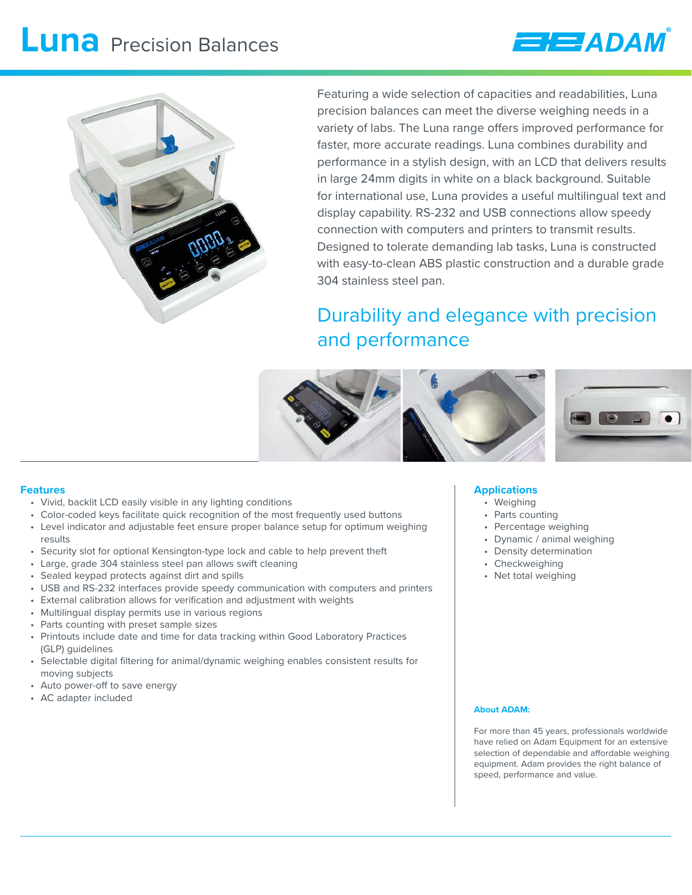# **Luna** Precision Balances





Featuring a wide selection of capacities and readabilities, Luna precision balances can meet the diverse weighing needs in a variety of labs. The Luna range offers improved performance for faster, more accurate readings. Luna combines durability and performance in a stylish design, with an LCD that delivers results in large 24mm digits in white on a black background. Suitable for international use, Luna provides a useful multilingual text and display capability. RS-232 and USB connections allow speedy connection with computers and printers to transmit results. Designed to tolerate demanding lab tasks, Luna is constructed with easy-to-clean ABS plastic construction and a durable grade 304 stainless steel pan.

### Durability and elegance with precision and performance



### **Features**

- Vivid, backlit LCD easily visible in any lighting conditions
- Color-coded keys facilitate quick recognition of the most frequently used buttons
- Level indicator and adjustable feet ensure proper balance setup for optimum weighing results
- Security slot for optional Kensington-type lock and cable to help prevent theft
- Large, grade 304 stainless steel pan allows swift cleaning
- Sealed keypad protects against dirt and spills
- USB and RS-232 interfaces provide speedy communication with computers and printers
- External calibration allows for verification and adjustment with weights
- Multilingual display permits use in various regions
- Parts counting with preset sample sizes
- Printouts include date and time for data tracking within Good Laboratory Practices (GLP) guidelines
- Selectable digital filtering for animal/dynamic weighing enables consistent results for moving subjects
- Auto power-off to save energy
- AC adapter included

### **Applications**

- Weighing
- Parts counting
- Percentage weighing
- Dynamic / animal weighing
- Density determination
- Checkweighing
- Net total weighing

### **About ADAM:**

For more than 45 years, professionals worldwide have relied on Adam Equipment for an extensive selection of dependable and affordable weighing equipment. Adam provides the right balance of speed, performance and value.